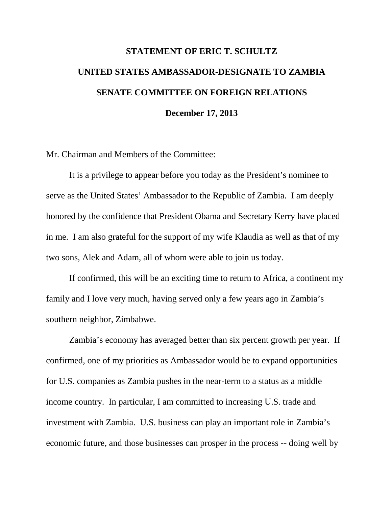## **STATEMENT OF ERIC T. SCHULTZ UNITED STATES AMBASSADOR-DESIGNATE TO ZAMBIA SENATE COMMITTEE ON FOREIGN RELATIONS December 17, 2013**

Mr. Chairman and Members of the Committee:

It is a privilege to appear before you today as the President's nominee to serve as the United States' Ambassador to the Republic of Zambia. I am deeply honored by the confidence that President Obama and Secretary Kerry have placed in me. I am also grateful for the support of my wife Klaudia as well as that of my two sons, Alek and Adam, all of whom were able to join us today.

If confirmed, this will be an exciting time to return to Africa, a continent my family and I love very much, having served only a few years ago in Zambia's southern neighbor, Zimbabwe.

Zambia's economy has averaged better than six percent growth per year. If confirmed, one of my priorities as Ambassador would be to expand opportunities for U.S. companies as Zambia pushes in the near-term to a status as a middle income country. In particular, I am committed to increasing U.S. trade and investment with Zambia. U.S. business can play an important role in Zambia's economic future, and those businesses can prosper in the process -- doing well by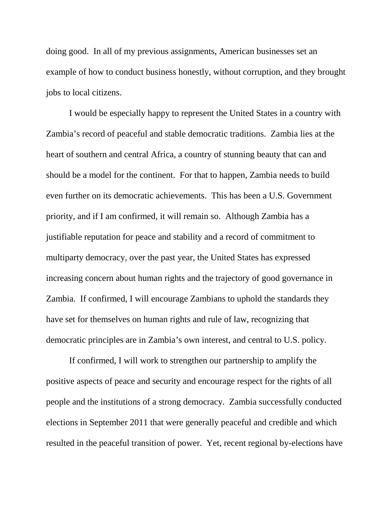doing good. In all of my previous assignments, American businesses set an example of how to conduct business honestly, without corruption, and they brought jobs to local citizens.

I would be especially happy to represent the United States in a country with Zambia's record of peaceful and stable democratic traditions. Zambia lies at the heart of southern and central Africa, a country of stunning beauty that can and should be a model for the continent. For that to happen, Zambia needs to build even further on its democratic achievements. This has been a U.S. Government priority, and if I am confirmed, it will remain so. Although Zambia has a justifiable reputation for peace and stability and a record of commitment to multiparty democracy, over the past year, the United States has expressed increasing concern about human rights and the trajectory of good governance in Zambia. If confirmed, I will encourage Zambians to uphold the standards they have set for themselves on human rights and rule of law, recognizing that democratic principles are in Zambia's own interest, and central to U.S. policy.

If confirmed, I will work to strengthen our partnership to amplify the positive aspects of peace and security and encourage respect for the rights of all people and the institutions of a strong democracy. Zambia successfully conducted elections in September 2011 that were generally peaceful and credible and which resulted in the peaceful transition of power. Yet, recent regional by-elections have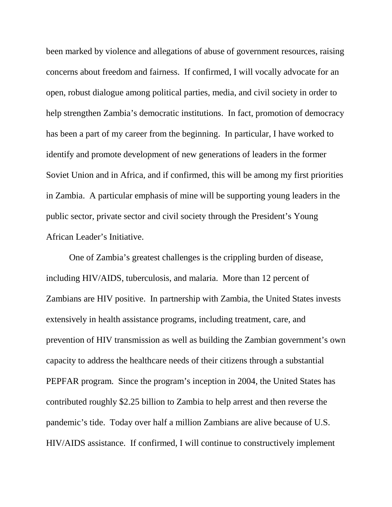been marked by violence and allegations of abuse of government resources, raising concerns about freedom and fairness. If confirmed, I will vocally advocate for an open, robust dialogue among political parties, media, and civil society in order to help strengthen Zambia's democratic institutions. In fact, promotion of democracy has been a part of my career from the beginning. In particular, I have worked to identify and promote development of new generations of leaders in the former Soviet Union and in Africa, and if confirmed, this will be among my first priorities in Zambia. A particular emphasis of mine will be supporting young leaders in the public sector, private sector and civil society through the President's Young African Leader's Initiative.

One of Zambia's greatest challenges is the crippling burden of disease, including HIV/AIDS, tuberculosis, and malaria. More than 12 percent of Zambians are HIV positive. In partnership with Zambia, the United States invests extensively in health assistance programs, including treatment, care, and prevention of HIV transmission as well as building the Zambian government's own capacity to address the healthcare needs of their citizens through a substantial PEPFAR program. Since the program's inception in 2004, the United States has contributed roughly \$2.25 billion to Zambia to help arrest and then reverse the pandemic's tide. Today over half a million Zambians are alive because of U.S. HIV/AIDS assistance. If confirmed, I will continue to constructively implement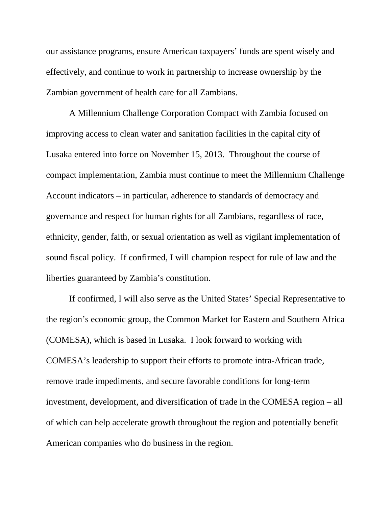our assistance programs, ensure American taxpayers' funds are spent wisely and effectively, and continue to work in partnership to increase ownership by the Zambian government of health care for all Zambians.

A Millennium Challenge Corporation Compact with Zambia focused on improving access to clean water and sanitation facilities in the capital city of Lusaka entered into force on November 15, 2013. Throughout the course of compact implementation, Zambia must continue to meet the Millennium Challenge Account indicators – in particular, adherence to standards of democracy and governance and respect for human rights for all Zambians, regardless of race, ethnicity, gender, faith, or sexual orientation as well as vigilant implementation of sound fiscal policy. If confirmed, I will champion respect for rule of law and the liberties guaranteed by Zambia's constitution.

If confirmed, I will also serve as the United States' Special Representative to the region's economic group, the Common Market for Eastern and Southern Africa (COMESA), which is based in Lusaka. I look forward to working with COMESA's leadership to support their efforts to promote intra-African trade, remove trade impediments, and secure favorable conditions for long-term investment, development, and diversification of trade in the COMESA region – all of which can help accelerate growth throughout the region and potentially benefit American companies who do business in the region.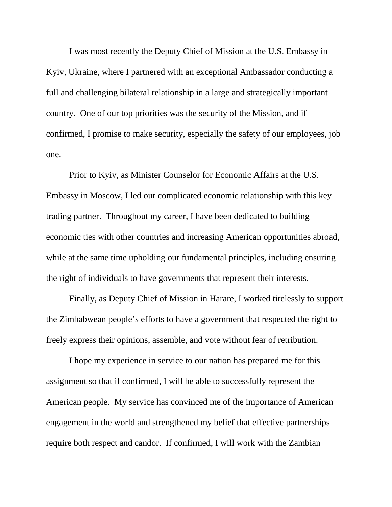I was most recently the Deputy Chief of Mission at the U.S. Embassy in Kyiv, Ukraine, where I partnered with an exceptional Ambassador conducting a full and challenging bilateral relationship in a large and strategically important country. One of our top priorities was the security of the Mission, and if confirmed, I promise to make security, especially the safety of our employees, job one.

Prior to Kyiv, as Minister Counselor for Economic Affairs at the U.S. Embassy in Moscow, I led our complicated economic relationship with this key trading partner. Throughout my career, I have been dedicated to building economic ties with other countries and increasing American opportunities abroad, while at the same time upholding our fundamental principles, including ensuring the right of individuals to have governments that represent their interests.

Finally, as Deputy Chief of Mission in Harare, I worked tirelessly to support the Zimbabwean people's efforts to have a government that respected the right to freely express their opinions, assemble, and vote without fear of retribution.

I hope my experience in service to our nation has prepared me for this assignment so that if confirmed, I will be able to successfully represent the American people. My service has convinced me of the importance of American engagement in the world and strengthened my belief that effective partnerships require both respect and candor. If confirmed, I will work with the Zambian